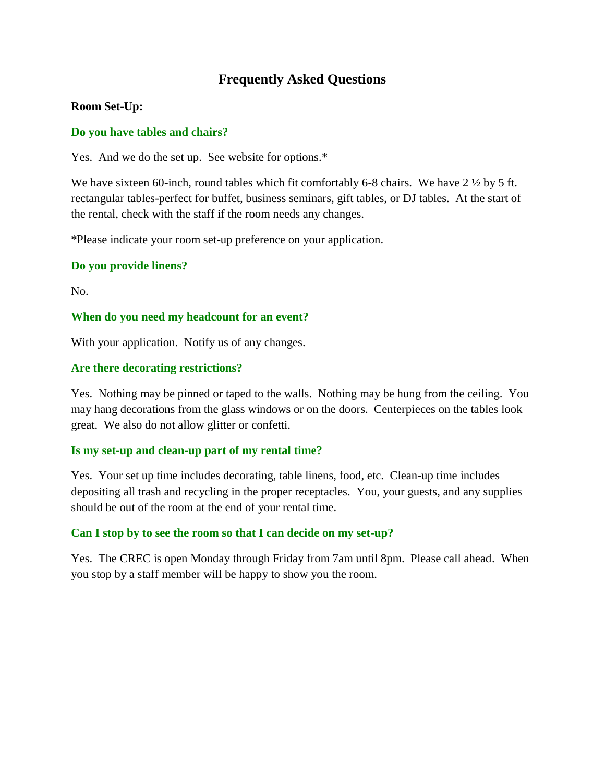# **Frequently Asked Questions**

# **Room Set-Up:**

# **Do you have tables and chairs?**

Yes. And we do the set up. See website for options.\*

We have sixteen 60-inch, round tables which fit comfortably 6-8 chairs. We have 2  $\frac{1}{2}$  by 5 ft. rectangular tables-perfect for buffet, business seminars, gift tables, or DJ tables. At the start of the rental, check with the staff if the room needs any changes.

\*Please indicate your room set-up preference on your application.

# **Do you provide linens?**

No.

# **When do you need my headcount for an event?**

With your application. Notify us of any changes.

# **Are there decorating restrictions?**

Yes. Nothing may be pinned or taped to the walls. Nothing may be hung from the ceiling. You may hang decorations from the glass windows or on the doors. Centerpieces on the tables look great. We also do not allow glitter or confetti.

# **Is my set-up and clean-up part of my rental time?**

Yes. Your set up time includes decorating, table linens, food, etc. Clean-up time includes depositing all trash and recycling in the proper receptacles. You, your guests, and any supplies should be out of the room at the end of your rental time.

# **Can I stop by to see the room so that I can decide on my set-up?**

Yes. The CREC is open Monday through Friday from 7am until 8pm. Please call ahead. When you stop by a staff member will be happy to show you the room.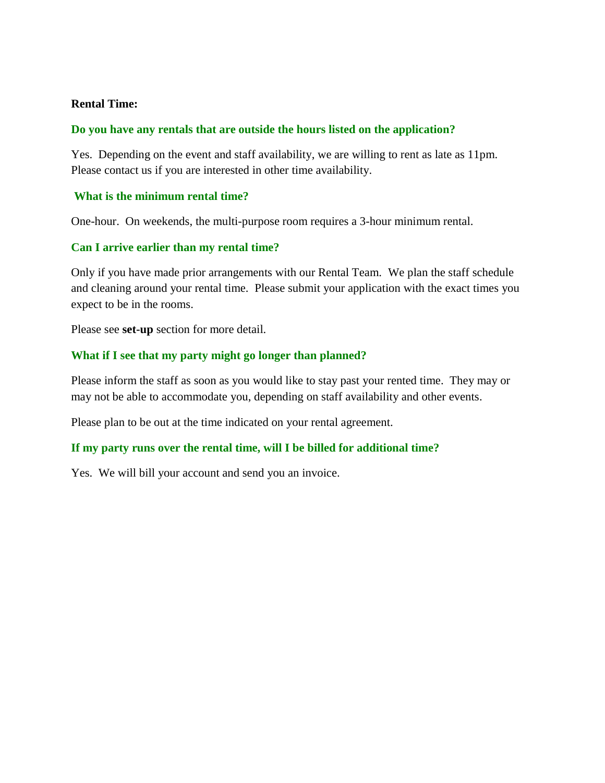# **Rental Time:**

# **Do you have any rentals that are outside the hours listed on the application?**

Yes. Depending on the event and staff availability, we are willing to rent as late as 11pm. Please contact us if you are interested in other time availability.

# **What is the minimum rental time?**

One-hour. On weekends, the multi-purpose room requires a 3-hour minimum rental.

# **Can I arrive earlier than my rental time?**

Only if you have made prior arrangements with our Rental Team. We plan the staff schedule and cleaning around your rental time. Please submit your application with the exact times you expect to be in the rooms.

Please see **set-up** section for more detail.

# **What if I see that my party might go longer than planned?**

Please inform the staff as soon as you would like to stay past your rented time. They may or may not be able to accommodate you, depending on staff availability and other events.

Please plan to be out at the time indicated on your rental agreement.

# **If my party runs over the rental time, will I be billed for additional time?**

Yes. We will bill your account and send you an invoice.